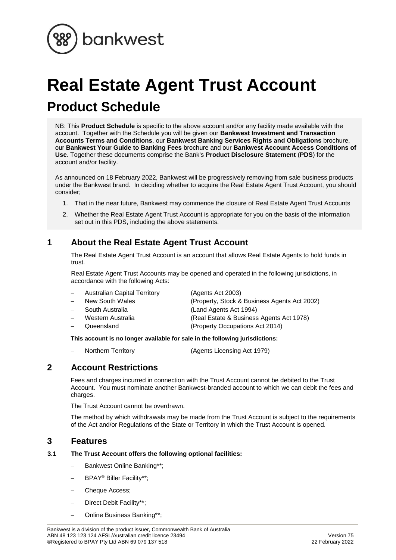

# **Real Estate Agent Trust Account Product Schedule**

NB: This **Product Schedule** is specific to the above account and/or any facility made available with the account. Together with the Schedule you will be given our **Bankwest Investment and Transaction Accounts Terms and Conditions**, our **Bankwest Banking Services Rights and Obligations** brochure, our **Bankwest Your Guide to Banking Fees** brochure and our **Bankwest Account Access Conditions of Use**. Together these documents comprise the Bank's **Product Disclosure Statement** (**PDS**) for the account and/or facility.

As announced on 18 February 2022, Bankwest will be progressively removing from sale business products under the Bankwest brand. In deciding whether to acquire the Real Estate Agent Trust Account, you should consider;

- 1. That in the near future, Bankwest may commence the closure of Real Estate Agent Trust Accounts
- 2. Whether the Real Estate Agent Trust Account is appropriate for you on the basis of the information set out in this PDS, including the above statements.

# **1 About the Real Estate Agent Trust Account**

The Real Estate Agent Trust Account is an account that allows Real Estate Agents to hold funds in trust.

Real Estate Agent Trust Accounts may be opened and operated in the following jurisdictions, in accordance with the following Acts:

| $\overline{\phantom{0}}$ | <b>Australian Capital Territory</b> | (Agents Act 2003)                            |
|--------------------------|-------------------------------------|----------------------------------------------|
|                          | New South Wales                     | (Property, Stock & Business Agents Act 2002) |
| $\overline{\phantom{0}}$ | South Australia                     | (Land Agents Act 1994)                       |
|                          | Western Australia                   | (Real Estate & Business Agents Act 1978)     |
|                          | Queensland                          | (Property Occupations Act 2014)              |

**This account is no longer available for sale in the following jurisdictions:**

Northern Territory (Agents Licensing Act 1979)

## **2 Account Restrictions**

Fees and charges incurred in connection with the Trust Account cannot be debited to the Trust Account. You must nominate another Bankwest-branded account to which we can debit the fees and charges.

The Trust Account cannot be overdrawn.

The method by which withdrawals may be made from the Trust Account is subject to the requirements of the Act and/or Regulations of the State or Territory in which the Trust Account is opened.

## **3 Features**

#### **3.1 The Trust Account offers the following optional facilities:**

- Bankwest Online Banking\*\*;
- BPAY® Biller Facility\*\*;
- Cheque Access;
- Direct Debit Facility\*\*;
- Online Business Banking\*\*;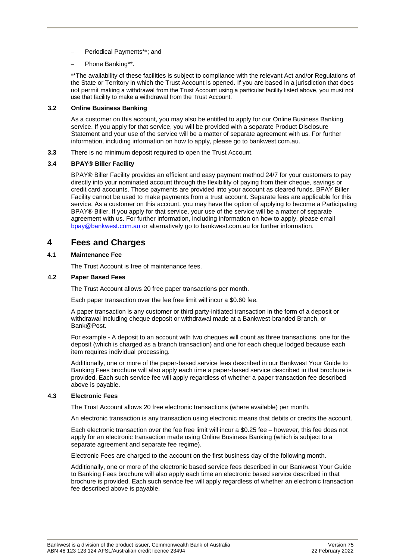- Periodical Payments\*\*; and
- Phone Banking\*\*.

\*\*The availability of these facilities is subject to compliance with the relevant Act and/or Regulations of the State or Territory in which the Trust Account is opened. If you are based in a jurisdiction that does not permit making a withdrawal from the Trust Account using a particular facility listed above, you must not use that facility to make a withdrawal from the Trust Account.

#### **3.2 Online Business Banking**

As a customer on this account, you may also be entitled to apply for our Online Business Banking service. If you apply for that service, you will be provided with a separate Product Disclosure Statement and your use of the service will be a matter of separate agreement with us. For further information, including information on how to apply, please go to bankwest.com.au.

**3.3** There is no minimum deposit required to open the Trust Account.

#### **3.4 BPAY® Biller Facility**

BPAY® Biller Facility provides an efficient and easy payment method 24/7 for your customers to pay directly into your nominated account through the flexibility of paying from their cheque, savings or credit card accounts. Those payments are provided into your account as cleared funds. BPAY Biller Facility cannot be used to make payments from a trust account. Separate fees are applicable for this service. As a customer on this account, you may have the option of applying to become a Participating BPAY® Biller. If you apply for that service, your use of the service will be a matter of separate agreement with us. For further information, including information on how to apply, please email [bpay@bankwest.com.au](mailto:bpay@bankwest.com.au) or alternatively go to bankwest.com.au for further information.

## **4 Fees and Charges**

#### **4.1 Maintenance Fee**

The Trust Account is free of maintenance fees.

#### **4.2 Paper Based Fees**

The Trust Account allows 20 free paper transactions per month.

Each paper transaction over the fee free limit will incur a \$0.60 fee.

A paper transaction is any customer or third party-initiated transaction in the form of a deposit or withdrawal including cheque deposit or withdrawal made at a Bankwest-branded Branch, or Bank@Post.

For example - A deposit to an account with two cheques will count as three transactions, one for the deposit (which is charged as a branch transaction) and one for each cheque lodged because each item requires individual processing.

Additionally, one or more of the paper-based service fees described in our Bankwest Your Guide to Banking Fees brochure will also apply each time a paper-based service described in that brochure is provided. Each such service fee will apply regardless of whether a paper transaction fee described above is payable.

#### **4.3 Electronic Fees**

The Trust Account allows 20 free electronic transactions (where available) per month.

An electronic transaction is any transaction using electronic means that debits or credits the account.

Each electronic transaction over the fee free limit will incur a \$0.25 fee – however, this fee does not apply for an electronic transaction made using Online Business Banking (which is subject to a separate agreement and separate fee regime).

Electronic Fees are charged to the account on the first business day of the following month.

Additionally, one or more of the electronic based service fees described in our Bankwest Your Guide to Banking Fees brochure will also apply each time an electronic based service described in that brochure is provided. Each such service fee will apply regardless of whether an electronic transaction fee described above is payable.